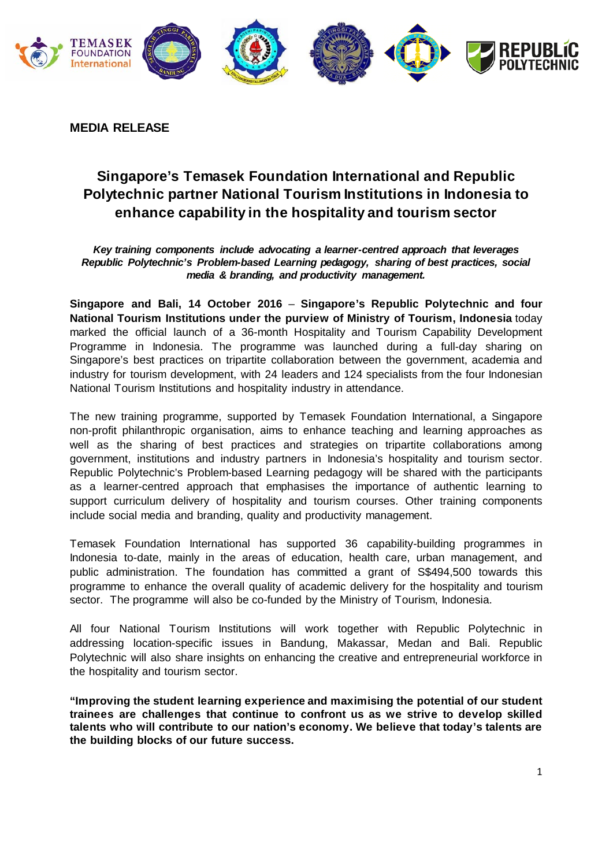

**MEDIA RELEASE**

## **Singapore's Temasek Foundation International and Republic Polytechnic partner National Tourism Institutions in Indonesia to enhance capability in the hospitality and tourism sector**

*Key training components include advocating a learner-centred approach that leverages Republic Polytechnic's Problem-based Learning pedagogy, sharing of best practices, social media & branding, and productivity management.*

**Singapore and Bali, 14 October 2016** – **Singapore's Republic Polytechnic and four National Tourism Institutions under the purview of Ministry of Tourism, Indonesia** today marked the official launch of a 36-month Hospitality and Tourism Capability Development Programme in Indonesia. The programme was launched during a full-day sharing on Singapore's best practices on tripartite collaboration between the government, academia and industry for tourism development, with 24 leaders and 124 specialists from the four Indonesian National Tourism Institutions and hospitality industry in attendance.

The new training programme, supported by Temasek Foundation International, a Singapore non-profit philanthropic organisation, aims to enhance teaching and learning approaches as well as the sharing of best practices and strategies on tripartite collaborations among government, institutions and industry partners in Indonesia's hospitality and tourism sector. Republic Polytechnic's Problem-based Learning pedagogy will be shared with the participants as a learner-centred approach that emphasises the importance of authentic learning to support curriculum delivery of hospitality and tourism courses. Other training components include social media and branding, quality and productivity management.

Temasek Foundation International has supported 36 capability-building programmes in Indonesia to-date, mainly in the areas of education, health care, urban management, and public administration. The foundation has committed a grant of S\$494,500 towards this programme to enhance the overall quality of academic delivery for the hospitality and tourism sector. The programme will also be co-funded by the Ministry of Tourism, Indonesia.

All four National Tourism Institutions will work together with Republic Polytechnic in addressing location-specific issues in Bandung, Makassar, Medan and Bali. Republic Polytechnic will also share insights on enhancing the creative and entrepreneurial workforce in the hospitality and tourism sector.

**"Improving the student learning experience and maximising the potential of our student trainees are challenges that continue to confront us as we strive to develop skilled talents who will contribute to our nation's economy. We believe that today's talents are the building blocks of our future success.**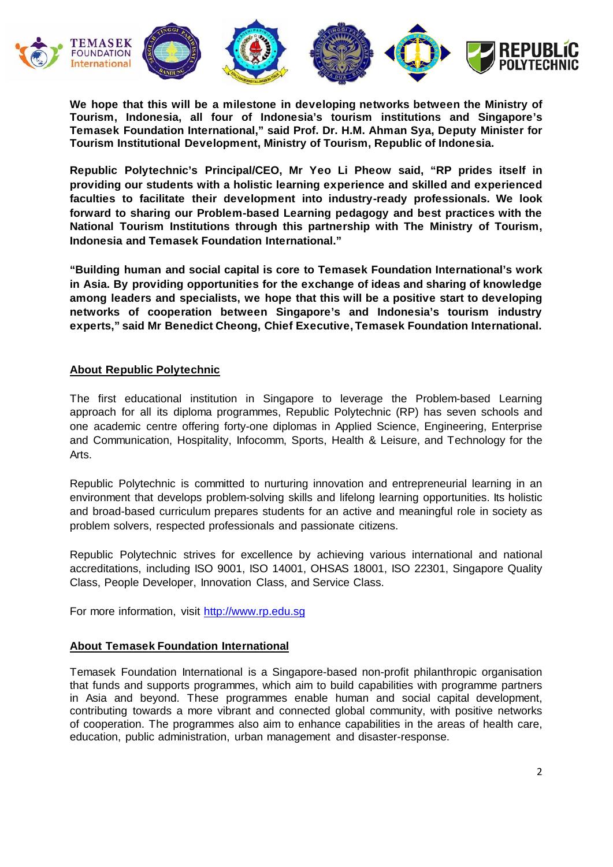

**We hope that this will be a milestone in developing networks between the Ministry of Tourism, Indonesia, all four of Indonesia's tourism institutions and Singapore's Temasek Foundation International," said Prof. Dr. H.M. Ahman Sya, Deputy Minister for Tourism Institutional Development, Ministry of Tourism, Republic of Indonesia.**

**Republic Polytechnic's Principal/CEO, Mr Yeo Li Pheow said, "RP prides itself in providing our students with a holistic learning experience and skilled and experienced faculties to facilitate their development into industry-ready professionals. We look forward to sharing our Problem-based Learning pedagogy and best practices with the National Tourism Institutions through this partnership with The Ministry of Tourism, Indonesia and Temasek Foundation International."**

**"Building human and social capital is core to Temasek Foundation International's work in Asia. By providing opportunities for the exchange of ideas and sharing of knowledge among leaders and specialists, we hope that this will be a positive start to developing networks of cooperation between Singapore's and Indonesia's tourism industry experts," said Mr Benedict Cheong, Chief Executive, Temasek Foundation International.**

## **About Republic Polytechnic**

The first educational institution in Singapore to leverage the Problem-based Learning approach for all its diploma programmes, Republic Polytechnic (RP) has seven schools and one academic centre offering forty-one diplomas in Applied Science, Engineering, Enterprise and Communication, Hospitality, Infocomm, Sports, Health & Leisure, and Technology for the Arts.

Republic Polytechnic is committed to nurturing innovation and entrepreneurial learning in an environment that develops problem-solving skills and lifelong learning opportunities. Its holistic and broad-based curriculum prepares students for an active and meaningful role in society as problem solvers, respected professionals and passionate citizens.

Republic Polytechnic strives for excellence by achieving various international and national accreditations, including ISO 9001, ISO 14001, OHSAS 18001, ISO 22301, Singapore Quality Class, People Developer, Innovation Class, and Service Class.

For more information, visit [http://www.rp.edu.sg](http://www.rp.edu.sg/) 

## **About Temasek Foundation International**

Temasek Foundation International is a Singapore-based non-profit philanthropic organisation that funds and supports programmes, which aim to build capabilities with programme partners in Asia and beyond. These programmes enable human and social capital development, contributing towards a more vibrant and connected global community, with positive networks of cooperation. The programmes also aim to enhance capabilities in the areas of health care, education, public administration, urban management and disaster-response.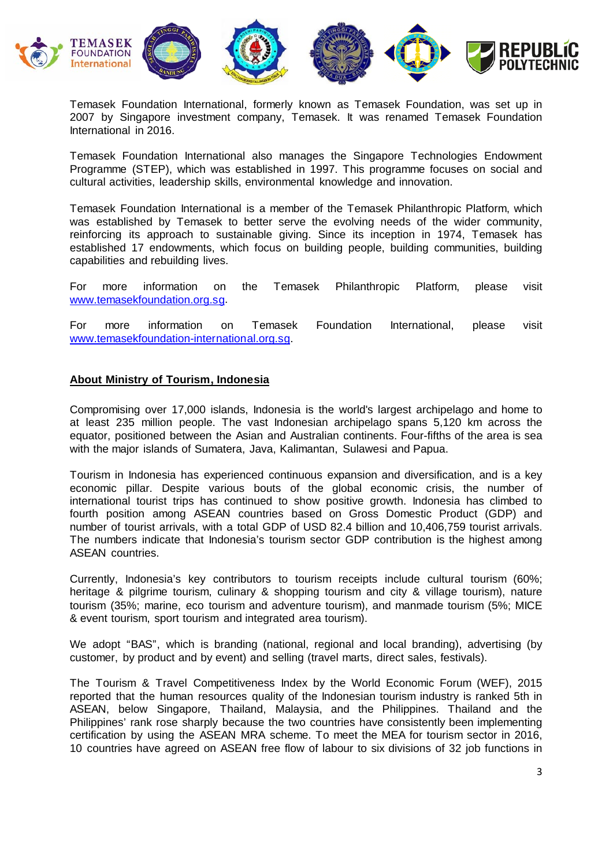

Temasek Foundation International, formerly known as Temasek Foundation, was set up in 2007 by Singapore investment company, Temasek. It was renamed Temasek Foundation International in 2016.

Temasek Foundation International also manages the Singapore Technologies Endowment Programme (STEP), which was established in 1997. This programme focuses on social and cultural activities, leadership skills, environmental knowledge and innovation.

Temasek Foundation International is a member of the Temasek Philanthropic Platform, which was established by Temasek to better serve the evolving needs of the wider community, reinforcing its approach to sustainable giving. Since its inception in 1974, Temasek has established 17 endowments, which focus on building people, building communities, building capabilities and rebuilding lives.

For more information on the Temasek Philanthropic Platform, please visit [www.temasekfoundation.org.sg.](http://www.temasekfoundation.org.sg/)

For more information on Temasek Foundation International, please visit www.temasekfoundation-international.org.sg.

## **About Ministry of Tourism, Indonesia**

Compromising over 17,000 islands, Indonesia is the world's largest archipelago and home to at least 235 million people. The vast Indonesian archipelago spans 5,120 km across the equator, positioned between the Asian and Australian continents. Four-fifths of the area is sea with the major islands of Sumatera, Java, Kalimantan, Sulawesi and Papua.

Tourism in Indonesia has experienced continuous expansion and diversification, and is a key economic pillar. Despite various bouts of the global economic crisis, the number of international tourist trips has continued to show positive growth. Indonesia has climbed to fourth position among ASEAN countries based on Gross Domestic Product (GDP) and number of tourist arrivals, with a total GDP of USD 82.4 billion and 10,406,759 tourist arrivals. The numbers indicate that Indonesia's tourism sector GDP contribution is the highest among ASEAN countries.

Currently, Indonesia's key contributors to tourism receipts include cultural tourism (60%; heritage & pilgrime tourism, culinary & shopping tourism and city & village tourism), nature tourism (35%; marine, eco tourism and adventure tourism), and manmade tourism (5%; MICE & event tourism, sport tourism and integrated area tourism).

We adopt "BAS", which is branding (national, regional and local branding), advertising (by customer, by product and by event) and selling (travel marts, direct sales, festivals).

The Tourism & Travel Competitiveness Index by the World Economic Forum (WEF), 2015 reported that the human resources quality of the Indonesian tourism industry is ranked 5th in ASEAN, below Singapore, Thailand, Malaysia, and the Philippines. Thailand and the Philippines' rank rose sharply because the two countries have consistently been implementing certification by using the ASEAN MRA scheme. To meet the MEA for tourism sector in 2016, 10 countries have agreed on ASEAN free flow of labour to six divisions of 32 job functions in